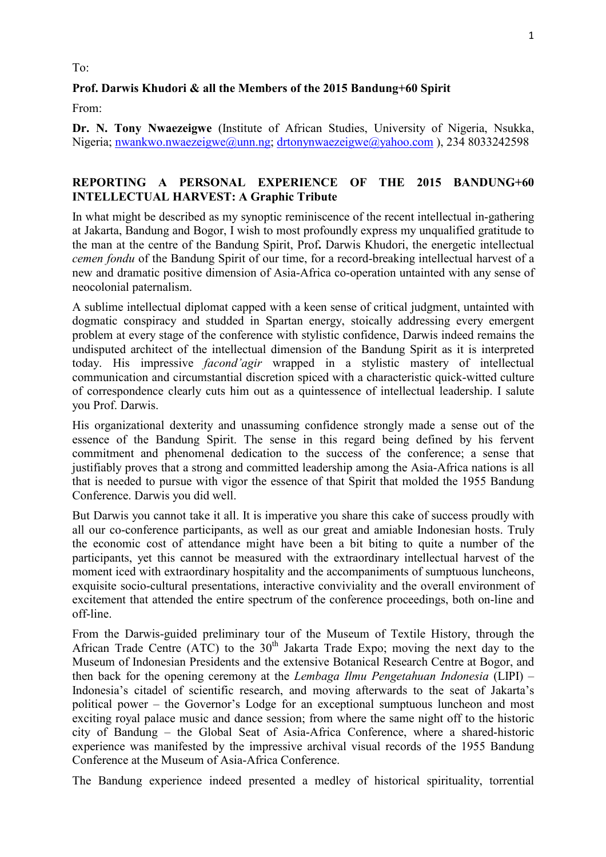## To:

## **Prof. Darwis Khudori & all the Members of the 2015 Bandung+60 Spirit**

From:

**Dr. N. Tony Nwaezeigwe** (Institute of African Studies, University of Nigeria, Nsukka, Nigeria; nwankwo.nwaezeigwe@unn.ng; drtonynwaezeigwe@yahoo.com ), 234 8033242598

## **REPORTING A PERSONAL EXPERIENCE OF THE 2015 BANDUNG+60 INTELLECTUAL HARVEST: A Graphic Tribute**

In what might be described as my synoptic reminiscence of the recent intellectual in-gathering at Jakarta, Bandung and Bogor, I wish to most profoundly express my unqualified gratitude to the man at the centre of the Bandung Spirit, Prof**.** Darwis Khudori, the energetic intellectual *cemen fondu* of the Bandung Spirit of our time, for a record-breaking intellectual harvest of a new and dramatic positive dimension of Asia-Africa co-operation untainted with any sense of neocolonial paternalism.

A sublime intellectual diplomat capped with a keen sense of critical judgment, untainted with dogmatic conspiracy and studded in Spartan energy, stoically addressing every emergent problem at every stage of the conference with stylistic confidence, Darwis indeed remains the undisputed architect of the intellectual dimension of the Bandung Spirit as it is interpreted today. His impressive *facond'agir* wrapped in a stylistic mastery of intellectual communication and circumstantial discretion spiced with a characteristic quick-witted culture of correspondence clearly cuts him out as a quintessence of intellectual leadership. I salute you Prof. Darwis.

His organizational dexterity and unassuming confidence strongly made a sense out of the essence of the Bandung Spirit. The sense in this regard being defined by his fervent commitment and phenomenal dedication to the success of the conference; a sense that justifiably proves that a strong and committed leadership among the Asia-Africa nations is all that is needed to pursue with vigor the essence of that Spirit that molded the 1955 Bandung Conference. Darwis you did well.

But Darwis you cannot take it all. It is imperative you share this cake of success proudly with all our co-conference participants, as well as our great and amiable Indonesian hosts. Truly the economic cost of attendance might have been a bit biting to quite a number of the participants, yet this cannot be measured with the extraordinary intellectual harvest of the moment iced with extraordinary hospitality and the accompaniments of sumptuous luncheons, exquisite socio-cultural presentations, interactive conviviality and the overall environment of excitement that attended the entire spectrum of the conference proceedings, both on-line and off-line.

From the Darwis-guided preliminary tour of the Museum of Textile History, through the African Trade Centre (ATC) to the  $30<sup>th</sup>$  Jakarta Trade Expo; moving the next day to the Museum of Indonesian Presidents and the extensive Botanical Research Centre at Bogor, and then back for the opening ceremony at the *Lembaga Ilmu Pengetahuan Indonesia* (LIPI) – Indonesia's citadel of scientific research, and moving afterwards to the seat of Jakarta's political power – the Governor's Lodge for an exceptional sumptuous luncheon and most exciting royal palace music and dance session; from where the same night off to the historic city of Bandung – the Global Seat of Asia-Africa Conference, where a shared-historic experience was manifested by the impressive archival visual records of the 1955 Bandung Conference at the Museum of Asia-Africa Conference.

The Bandung experience indeed presented a medley of historical spirituality, torrential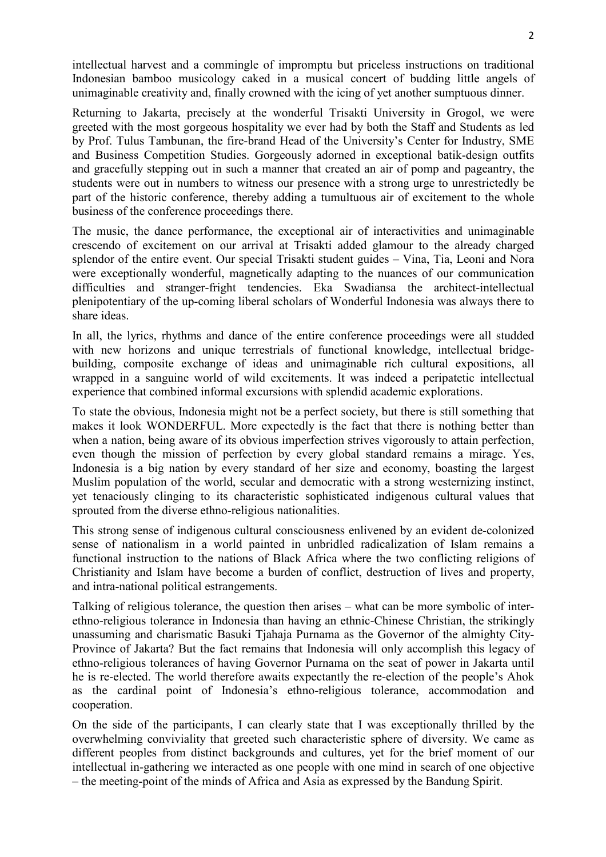intellectual harvest and a commingle of impromptu but priceless instructions on traditional Indonesian bamboo musicology caked in a musical concert of budding little angels of unimaginable creativity and, finally crowned with the icing of yet another sumptuous dinner.

Returning to Jakarta, precisely at the wonderful Trisakti University in Grogol, we were greeted with the most gorgeous hospitality we ever had by both the Staff and Students as led by Prof. Tulus Tambunan, the fire-brand Head of the University's Center for Industry, SME and Business Competition Studies. Gorgeously adorned in exceptional batik-design outfits and gracefully stepping out in such a manner that created an air of pomp and pageantry, the students were out in numbers to witness our presence with a strong urge to unrestrictedly be part of the historic conference, thereby adding a tumultuous air of excitement to the whole business of the conference proceedings there.

The music, the dance performance, the exceptional air of interactivities and unimaginable crescendo of excitement on our arrival at Trisakti added glamour to the already charged splendor of the entire event. Our special Trisakti student guides – Vina, Tia, Leoni and Nora were exceptionally wonderful, magnetically adapting to the nuances of our communication difficulties and stranger-fright tendencies. Eka Swadiansa the architect-intellectual plenipotentiary of the up-coming liberal scholars of Wonderful Indonesia was always there to share ideas.

In all, the lyrics, rhythms and dance of the entire conference proceedings were all studded with new horizons and unique terrestrials of functional knowledge, intellectual bridgebuilding, composite exchange of ideas and unimaginable rich cultural expositions, all wrapped in a sanguine world of wild excitements. It was indeed a peripatetic intellectual experience that combined informal excursions with splendid academic explorations.

To state the obvious, Indonesia might not be a perfect society, but there is still something that makes it look WONDERFUL. More expectedly is the fact that there is nothing better than when a nation, being aware of its obvious imperfection strives vigorously to attain perfection, even though the mission of perfection by every global standard remains a mirage. Yes, Indonesia is a big nation by every standard of her size and economy, boasting the largest Muslim population of the world, secular and democratic with a strong westernizing instinct, yet tenaciously clinging to its characteristic sophisticated indigenous cultural values that sprouted from the diverse ethno-religious nationalities.

This strong sense of indigenous cultural consciousness enlivened by an evident de-colonized sense of nationalism in a world painted in unbridled radicalization of Islam remains a functional instruction to the nations of Black Africa where the two conflicting religions of Christianity and Islam have become a burden of conflict, destruction of lives and property, and intra-national political estrangements.

Talking of religious tolerance, the question then arises – what can be more symbolic of interethno-religious tolerance in Indonesia than having an ethnic-Chinese Christian, the strikingly unassuming and charismatic Basuki Tjahaja Purnama as the Governor of the almighty City-Province of Jakarta? But the fact remains that Indonesia will only accomplish this legacy of ethno-religious tolerances of having Governor Purnama on the seat of power in Jakarta until he is re-elected. The world therefore awaits expectantly the re-election of the people's Ahok as the cardinal point of Indonesia's ethno-religious tolerance, accommodation and cooperation.

On the side of the participants, I can clearly state that I was exceptionally thrilled by the overwhelming conviviality that greeted such characteristic sphere of diversity. We came as different peoples from distinct backgrounds and cultures, yet for the brief moment of our intellectual in-gathering we interacted as one people with one mind in search of one objective – the meeting-point of the minds of Africa and Asia as expressed by the Bandung Spirit.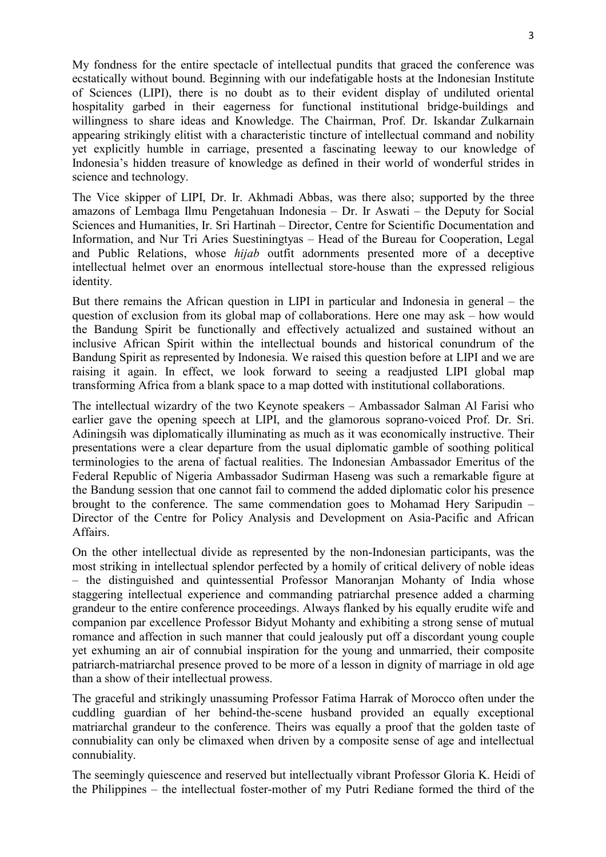My fondness for the entire spectacle of intellectual pundits that graced the conference was ecstatically without bound. Beginning with our indefatigable hosts at the Indonesian Institute of Sciences (LIPI), there is no doubt as to their evident display of undiluted oriental hospitality garbed in their eagerness for functional institutional bridge-buildings and willingness to share ideas and Knowledge. The Chairman, Prof. Dr. Iskandar Zulkarnain appearing strikingly elitist with a characteristic tincture of intellectual command and nobility yet explicitly humble in carriage, presented a fascinating leeway to our knowledge of Indonesia's hidden treasure of knowledge as defined in their world of wonderful strides in science and technology.

The Vice skipper of LIPI, Dr. Ir. Akhmadi Abbas, was there also; supported by the three amazons of Lembaga Ilmu Pengetahuan Indonesia – Dr. Ir Aswati – the Deputy for Social Sciences and Humanities, Ir. Sri Hartinah – Director, Centre for Scientific Documentation and Information, and Nur Tri Aries Suestiningtyas – Head of the Bureau for Cooperation, Legal and Public Relations, whose *hijab* outfit adornments presented more of a deceptive intellectual helmet over an enormous intellectual store-house than the expressed religious identity.

But there remains the African question in LIPI in particular and Indonesia in general – the question of exclusion from its global map of collaborations. Here one may ask – how would the Bandung Spirit be functionally and effectively actualized and sustained without an inclusive African Spirit within the intellectual bounds and historical conundrum of the Bandung Spirit as represented by Indonesia. We raised this question before at LIPI and we are raising it again. In effect, we look forward to seeing a readjusted LIPI global map transforming Africa from a blank space to a map dotted with institutional collaborations.

The intellectual wizardry of the two Keynote speakers – Ambassador Salman Al Farisi who earlier gave the opening speech at LIPI, and the glamorous soprano-voiced Prof. Dr. Sri. Adiningsih was diplomatically illuminating as much as it was economically instructive. Their presentations were a clear departure from the usual diplomatic gamble of soothing political terminologies to the arena of factual realities. The Indonesian Ambassador Emeritus of the Federal Republic of Nigeria Ambassador Sudirman Haseng was such a remarkable figure at the Bandung session that one cannot fail to commend the added diplomatic color his presence brought to the conference. The same commendation goes to Mohamad Hery Saripudin – Director of the Centre for Policy Analysis and Development on Asia-Pacific and African **Affairs** 

On the other intellectual divide as represented by the non-Indonesian participants, was the most striking in intellectual splendor perfected by a homily of critical delivery of noble ideas – the distinguished and quintessential Professor Manoranjan Mohanty of India whose staggering intellectual experience and commanding patriarchal presence added a charming grandeur to the entire conference proceedings. Always flanked by his equally erudite wife and companion par excellence Professor Bidyut Mohanty and exhibiting a strong sense of mutual romance and affection in such manner that could jealously put off a discordant young couple yet exhuming an air of connubial inspiration for the young and unmarried, their composite patriarch-matriarchal presence proved to be more of a lesson in dignity of marriage in old age than a show of their intellectual prowess.

The graceful and strikingly unassuming Professor Fatima Harrak of Morocco often under the cuddling guardian of her behind-the-scene husband provided an equally exceptional matriarchal grandeur to the conference. Theirs was equally a proof that the golden taste of connubiality can only be climaxed when driven by a composite sense of age and intellectual connubiality.

The seemingly quiescence and reserved but intellectually vibrant Professor Gloria K. Heidi of the Philippines – the intellectual foster-mother of my Putri Rediane formed the third of the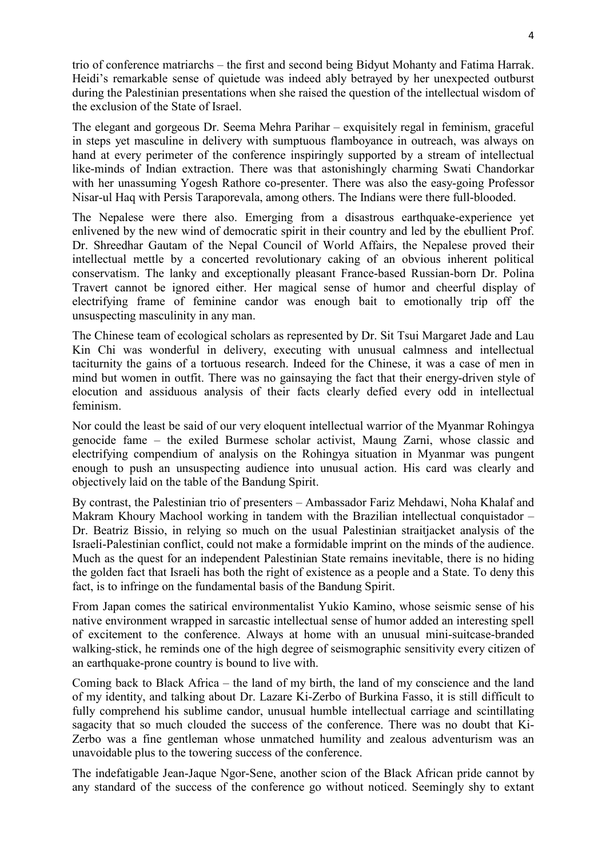trio of conference matriarchs – the first and second being Bidyut Mohanty and Fatima Harrak. Heidi's remarkable sense of quietude was indeed ably betrayed by her unexpected outburst during the Palestinian presentations when she raised the question of the intellectual wisdom of the exclusion of the State of Israel.

The elegant and gorgeous Dr. Seema Mehra Parihar – exquisitely regal in feminism, graceful in steps yet masculine in delivery with sumptuous flamboyance in outreach, was always on hand at every perimeter of the conference inspiringly supported by a stream of intellectual like-minds of Indian extraction. There was that astonishingly charming Swati Chandorkar with her unassuming Yogesh Rathore co-presenter. There was also the easy-going Professor Nisar-ul Haq with Persis Taraporevala, among others. The Indians were there full-blooded.

The Nepalese were there also. Emerging from a disastrous earthquake-experience yet enlivened by the new wind of democratic spirit in their country and led by the ebullient Prof. Dr. Shreedhar Gautam of the Nepal Council of World Affairs, the Nepalese proved their intellectual mettle by a concerted revolutionary caking of an obvious inherent political conservatism. The lanky and exceptionally pleasant France-based Russian-born Dr. Polina Travert cannot be ignored either. Her magical sense of humor and cheerful display of electrifying frame of feminine candor was enough bait to emotionally trip off the unsuspecting masculinity in any man.

The Chinese team of ecological scholars as represented by Dr. Sit Tsui Margaret Jade and Lau Kin Chi was wonderful in delivery, executing with unusual calmness and intellectual taciturnity the gains of a tortuous research. Indeed for the Chinese, it was a case of men in mind but women in outfit. There was no gainsaying the fact that their energy-driven style of elocution and assiduous analysis of their facts clearly defied every odd in intellectual feminism.

Nor could the least be said of our very eloquent intellectual warrior of the Myanmar Rohingya genocide fame – the exiled Burmese scholar activist, Maung Zarni, whose classic and electrifying compendium of analysis on the Rohingya situation in Myanmar was pungent enough to push an unsuspecting audience into unusual action. His card was clearly and objectively laid on the table of the Bandung Spirit.

By contrast, the Palestinian trio of presenters – Ambassador Fariz Mehdawi, Noha Khalaf and Makram Khoury Machool working in tandem with the Brazilian intellectual conquistador – Dr. Beatriz Bissio, in relying so much on the usual Palestinian straitjacket analysis of the Israeli-Palestinian conflict, could not make a formidable imprint on the minds of the audience. Much as the quest for an independent Palestinian State remains inevitable, there is no hiding the golden fact that Israeli has both the right of existence as a people and a State. To deny this fact, is to infringe on the fundamental basis of the Bandung Spirit.

From Japan comes the satirical environmentalist Yukio Kamino, whose seismic sense of his native environment wrapped in sarcastic intellectual sense of humor added an interesting spell of excitement to the conference. Always at home with an unusual mini-suitcase-branded walking-stick, he reminds one of the high degree of seismographic sensitivity every citizen of an earthquake-prone country is bound to live with.

Coming back to Black Africa – the land of my birth, the land of my conscience and the land of my identity, and talking about Dr. Lazare Ki-Zerbo of Burkina Fasso, it is still difficult to fully comprehend his sublime candor, unusual humble intellectual carriage and scintillating sagacity that so much clouded the success of the conference. There was no doubt that Ki-Zerbo was a fine gentleman whose unmatched humility and zealous adventurism was an unavoidable plus to the towering success of the conference.

The indefatigable Jean-Jaque Ngor-Sene, another scion of the Black African pride cannot by any standard of the success of the conference go without noticed. Seemingly shy to extant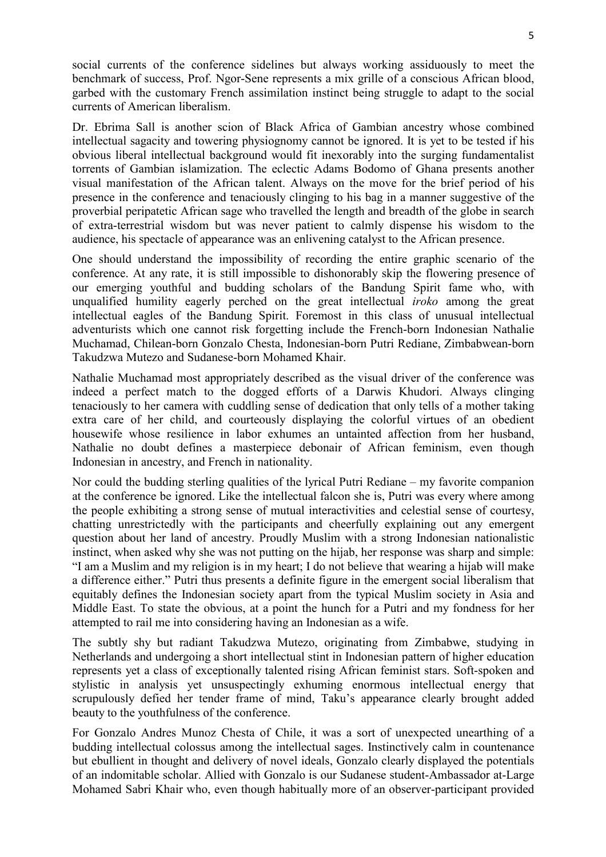social currents of the conference sidelines but always working assiduously to meet the benchmark of success, Prof. Ngor-Sene represents a mix grille of a conscious African blood, garbed with the customary French assimilation instinct being struggle to adapt to the social currents of American liberalism.

Dr. Ebrima Sall is another scion of Black Africa of Gambian ancestry whose combined intellectual sagacity and towering physiognomy cannot be ignored. It is yet to be tested if his obvious liberal intellectual background would fit inexorably into the surging fundamentalist torrents of Gambian islamization. The eclectic Adams Bodomo of Ghana presents another visual manifestation of the African talent. Always on the move for the brief period of his presence in the conference and tenaciously clinging to his bag in a manner suggestive of the proverbial peripatetic African sage who travelled the length and breadth of the globe in search of extra-terrestrial wisdom but was never patient to calmly dispense his wisdom to the audience, his spectacle of appearance was an enlivening catalyst to the African presence.

One should understand the impossibility of recording the entire graphic scenario of the conference. At any rate, it is still impossible to dishonorably skip the flowering presence of our emerging youthful and budding scholars of the Bandung Spirit fame who, with unqualified humility eagerly perched on the great intellectual *iroko* among the great intellectual eagles of the Bandung Spirit. Foremost in this class of unusual intellectual adventurists which one cannot risk forgetting include the French-born Indonesian Nathalie Muchamad, Chilean-born Gonzalo Chesta, Indonesian-born Putri Rediane, Zimbabwean-born Takudzwa Mutezo and Sudanese-born Mohamed Khair.

Nathalie Muchamad most appropriately described as the visual driver of the conference was indeed a perfect match to the dogged efforts of a Darwis Khudori. Always clinging tenaciously to her camera with cuddling sense of dedication that only tells of a mother taking extra care of her child, and courteously displaying the colorful virtues of an obedient housewife whose resilience in labor exhumes an untainted affection from her husband, Nathalie no doubt defines a masterpiece debonair of African feminism, even though Indonesian in ancestry, and French in nationality.

Nor could the budding sterling qualities of the lyrical Putri Rediane – my favorite companion at the conference be ignored. Like the intellectual falcon she is, Putri was every where among the people exhibiting a strong sense of mutual interactivities and celestial sense of courtesy, chatting unrestrictedly with the participants and cheerfully explaining out any emergent question about her land of ancestry. Proudly Muslim with a strong Indonesian nationalistic instinct, when asked why she was not putting on the hijab, her response was sharp and simple: "I am a Muslim and my religion is in my heart; I do not believe that wearing a hijab will make a difference either." Putri thus presents a definite figure in the emergent social liberalism that equitably defines the Indonesian society apart from the typical Muslim society in Asia and Middle East. To state the obvious, at a point the hunch for a Putri and my fondness for her attempted to rail me into considering having an Indonesian as a wife.

The subtly shy but radiant Takudzwa Mutezo, originating from Zimbabwe, studying in Netherlands and undergoing a short intellectual stint in Indonesian pattern of higher education represents yet a class of exceptionally talented rising African feminist stars. Soft-spoken and stylistic in analysis yet unsuspectingly exhuming enormous intellectual energy that scrupulously defied her tender frame of mind, Taku's appearance clearly brought added beauty to the youthfulness of the conference.

For Gonzalo Andres Munoz Chesta of Chile, it was a sort of unexpected unearthing of a budding intellectual colossus among the intellectual sages. Instinctively calm in countenance but ebullient in thought and delivery of novel ideals, Gonzalo clearly displayed the potentials of an indomitable scholar. Allied with Gonzalo is our Sudanese student-Ambassador at-Large Mohamed Sabri Khair who, even though habitually more of an observer-participant provided